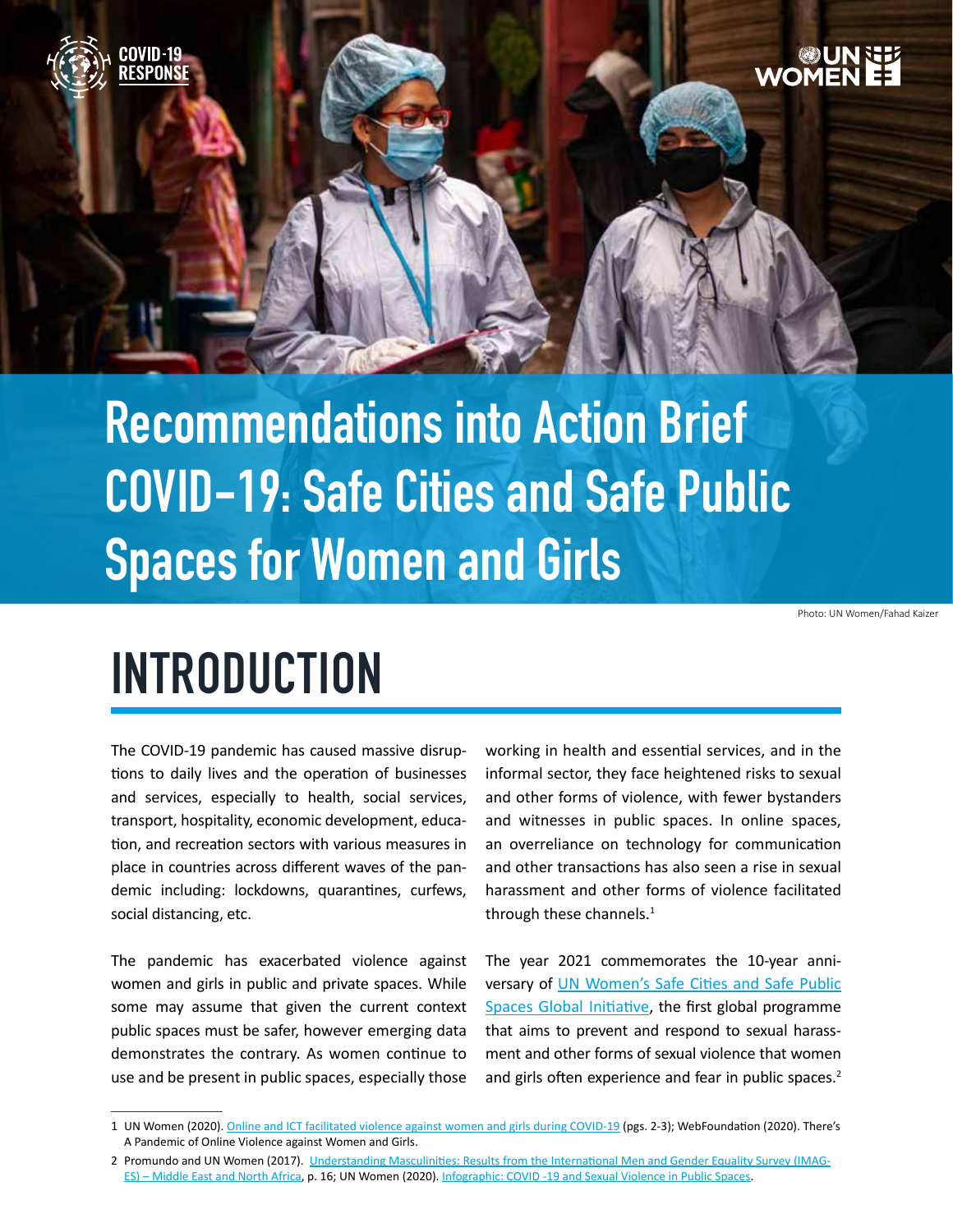

# **Recommendations into Action Brief COVID-19: Safe Cities and Safe Public Spaces for Women and Girls**

Photo: UN Women/Fahad Kaizer

### **INTRODUCTION**

The COVID-19 pandemic has caused massive disruptions to daily lives and the operation of businesses and services, especially to health, social services, transport, hospitality, economic development, education, and recreation sectors with various measures in place in countries across different waves of the pandemic including: lockdowns, quarantines, curfews, social distancing, etc.

The pandemic has exacerbated violence against women and girls in public and private spaces. While some may assume that given the current context public spaces must be safer, however emerging data demonstrates the contrary. As women continue to use and be present in public spaces, especially those

working in health and essential services, and in the informal sector, they face heightened risks to sexual and other forms of violence, with fewer bystanders and witnesses in public spaces. In online spaces, an overreliance on technology for communication and other transactions has also seen a rise in sexual harassment and other forms of violence facilitated through these channels. $<sup>1</sup>$ </sup>

The year 2021 commemorates the 10-year anniversary of UN Women's Safe Cities and Safe Public [Spaces Global Initiative](https://www.unwomen.org/-/media/headquarters/attachments/sections/how we work/flagship programmes/un-women-flagship-programme-safe-cities-public-spaces-en.pdf?la=en&vs=3713), the first global programme that aims to prevent and respond to sexual harassment and other forms of sexual violence that women and girls often experience and fear in public spaces.<sup>2</sup>

<sup>1</sup> UN Women (2020). [Online and ICT facilitated violence against women and girls during COVID-19](https://www.unwomen.org/-/media/headquarters/attachments/sections/library/publications/2020/brief-online-and-ict-facilitated-violence-against-women-and-girls-during-covid-19-en.pdf?la=en&vs=2519) (pgs. 2-3); WebFoundation (2020). There's A Pandemic of Online Violence against Women and Girls.

<sup>2</sup> Promundo and UN Women (2017). [Understanding Masculinities: Results from the International Men and Gender Equality Survey \(IMAG](https://imagesmena.org/en/)-[ES\) – Middle East and North Africa](https://imagesmena.org/en/), p. 16; UN Women (2020). [Infographic: COVID -19 and Sexual Violence in Public Spaces](https://www.unwomen.org/-/media/headquarters/attachments/sections/library/publications/2020/brief-covid-19-and-ensuring-safe-cities-and-safe-public-spaces-for-women-and-girls-infographic-en.pdf?la=en&vs=5337).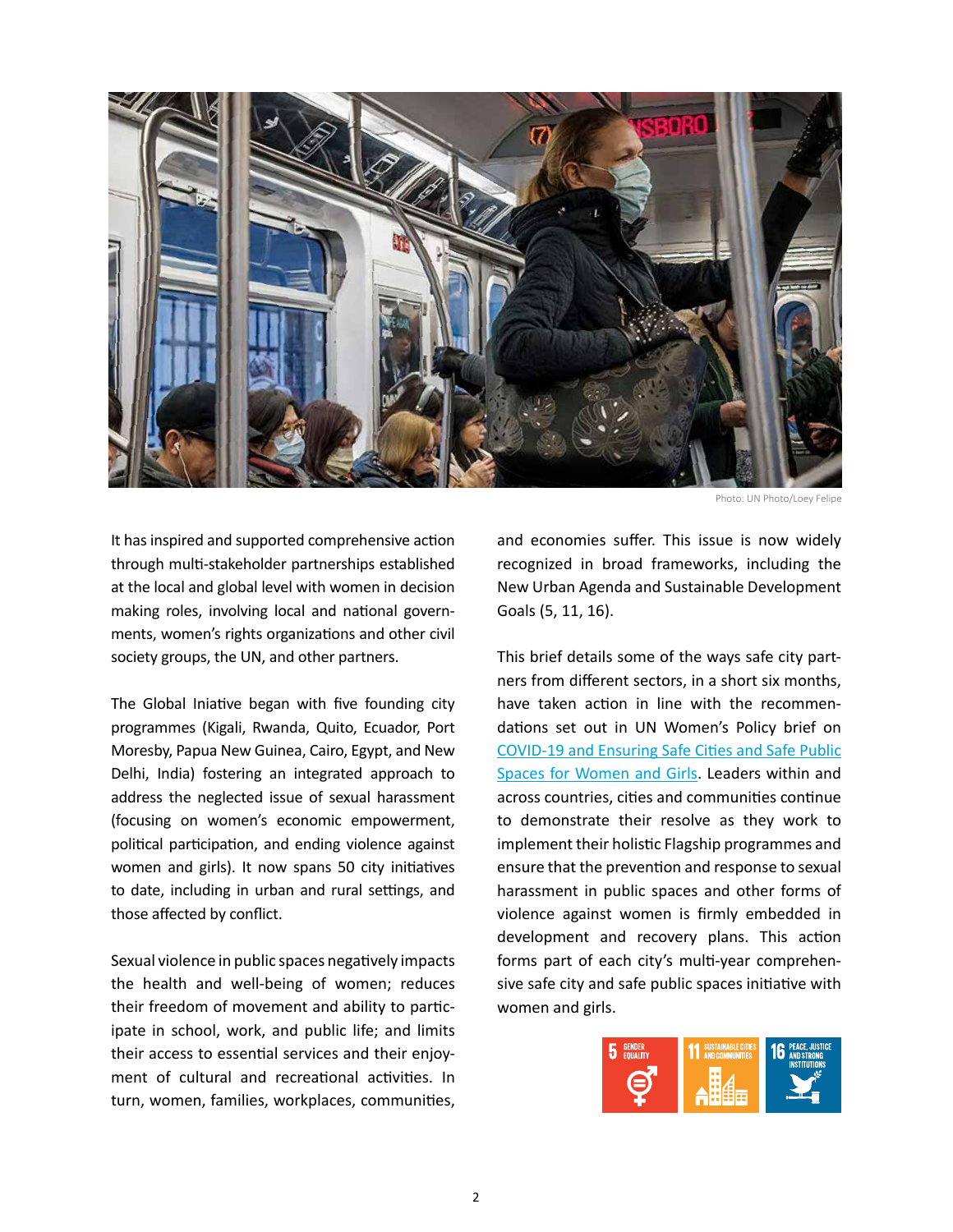

Photo: UN Photo/Loey Felipe

It has inspired and supported comprehensive action through multi-stakeholder partnerships established at the local and global level with women in decision making roles, involving local and national governments, women's rights organizations and other civil society groups, the UN, and other partners.

The Global Iniative began with five founding city programmes (Kigali, Rwanda, Quito, Ecuador, Port Moresby, Papua New Guinea, Cairo, Egypt, and New Delhi, India) fostering an integrated approach to address the neglected issue of sexual harassment (focusing on women's economic empowerment, political participation, and ending violence against women and girls). It now spans 50 city initiatives to date, including in urban and rural settings, and those affected by conflict.

Sexual violence in public spaces negatively impacts the health and well-being of women; reduces their freedom of movement and ability to participate in school, work, and public life; and limits their access to essential services and their enjoyment of cultural and recreational activities. In turn, women, families, workplaces, communities,

and economies suffer. This issue is now widely recognized in broad frameworks, including the New Urban Agenda and Sustainable Development Goals (5, 11, 16).

This brief details some of the ways safe city partners from different sectors, in a short six months, have taken action in line with the recommendations set out in UN Women's Policy brief on [COVID-19 and Ensuring Safe Cities and Safe Public](https://www.unwomen.org/-/media/headquarters/attachments/sections/library/publications/2020/brief-covid-19-and-ensuring-safe-cities-and-safe-public-spaces-for-women-and-girls-en.pdf?la=en&vs=632)  [Spaces for Women and Girls](https://www.unwomen.org/-/media/headquarters/attachments/sections/library/publications/2020/brief-covid-19-and-ensuring-safe-cities-and-safe-public-spaces-for-women-and-girls-en.pdf?la=en&vs=632). Leaders within and across countries, cities and communities continue to demonstrate their resolve as they work to implement their holistic Flagship programmes and ensure that the prevention and response to sexual harassment in public spaces and other forms of violence against women is firmly embedded in development and recovery plans. This action forms part of each city's multi-year comprehensive safe city and safe public spaces initiative with women and girls.

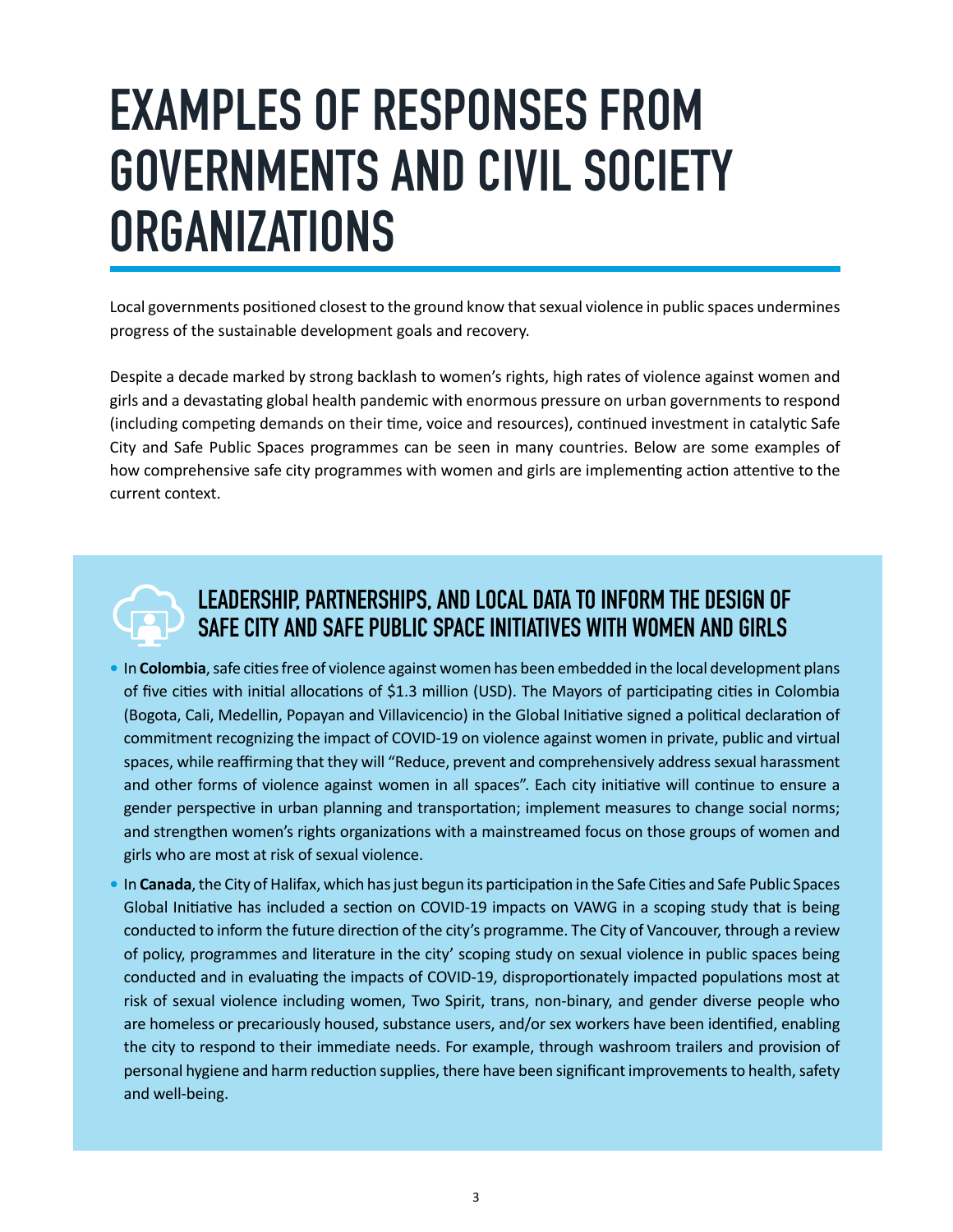## **EXAMPLES OF RESPONSES FROM GOVERNMENTS AND CIVIL SOCIETY ORGANIZATIONS**

Local governments positioned closest to the ground know that sexual violence in public spaces undermines progress of the sustainable development goals and recovery.

Despite a decade marked by strong backlash to women's rights, high rates of violence against women and girls and a devastating global health pandemic with enormous pressure on urban governments to respond (including competing demands on their time, voice and resources), continued investment in catalytic Safe City and Safe Public Spaces programmes can be seen in many countries. Below are some examples of how comprehensive safe city programmes with women and girls are implementing action attentive to the current context.



#### **LEADERSHIP, PARTNERSHIPS, AND LOCAL DATA TO INFORM THE DESIGN OF SAFE CITY AND SAFE PUBLIC SPACE INITIATIVES WITH WOMEN AND GIRLS**

- **•** In **Colombia**, safe cities free of violence against women has been embedded in the local development plans of five cities with initial allocations of \$1.3 million (USD). The Mayors of participating cities in Colombia (Bogota, Cali, Medellin, Popayan and Villavicencio) in the Global Initiative signed a political declaration of commitment recognizing the impact of COVID-19 on violence against women in private, public and virtual spaces, while reaffirming that they will "Reduce, prevent and comprehensively address sexual harassment and other forms of violence against women in all spaces". Each city initiative will continue to ensure a gender perspective in urban planning and transportation; implement measures to change social norms; and strengthen women's rights organizations with a mainstreamed focus on those groups of women and girls who are most at risk of sexual violence.
- **•** In **Canada**, the City of Halifax, which has just begun its participation in the Safe Cities and Safe Public Spaces Global Initiative has included a section on COVID-19 impacts on VAWG in a scoping study that is being conducted to inform the future direction of the city's programme. The City of Vancouver, through a review of policy, programmes and literature in the city' scoping study on sexual violence in public spaces being conducted and in evaluating the impacts of COVID-19, disproportionately impacted populations most at risk of sexual violence including women, Two Spirit, trans, non-binary, and gender diverse people who are homeless or precariously housed, substance users, and/or sex workers have been identified, enabling the city to respond to their immediate needs. For example, through washroom trailers and provision of personal hygiene and harm reduction supplies, there have been significant improvements to health, safety and well-being.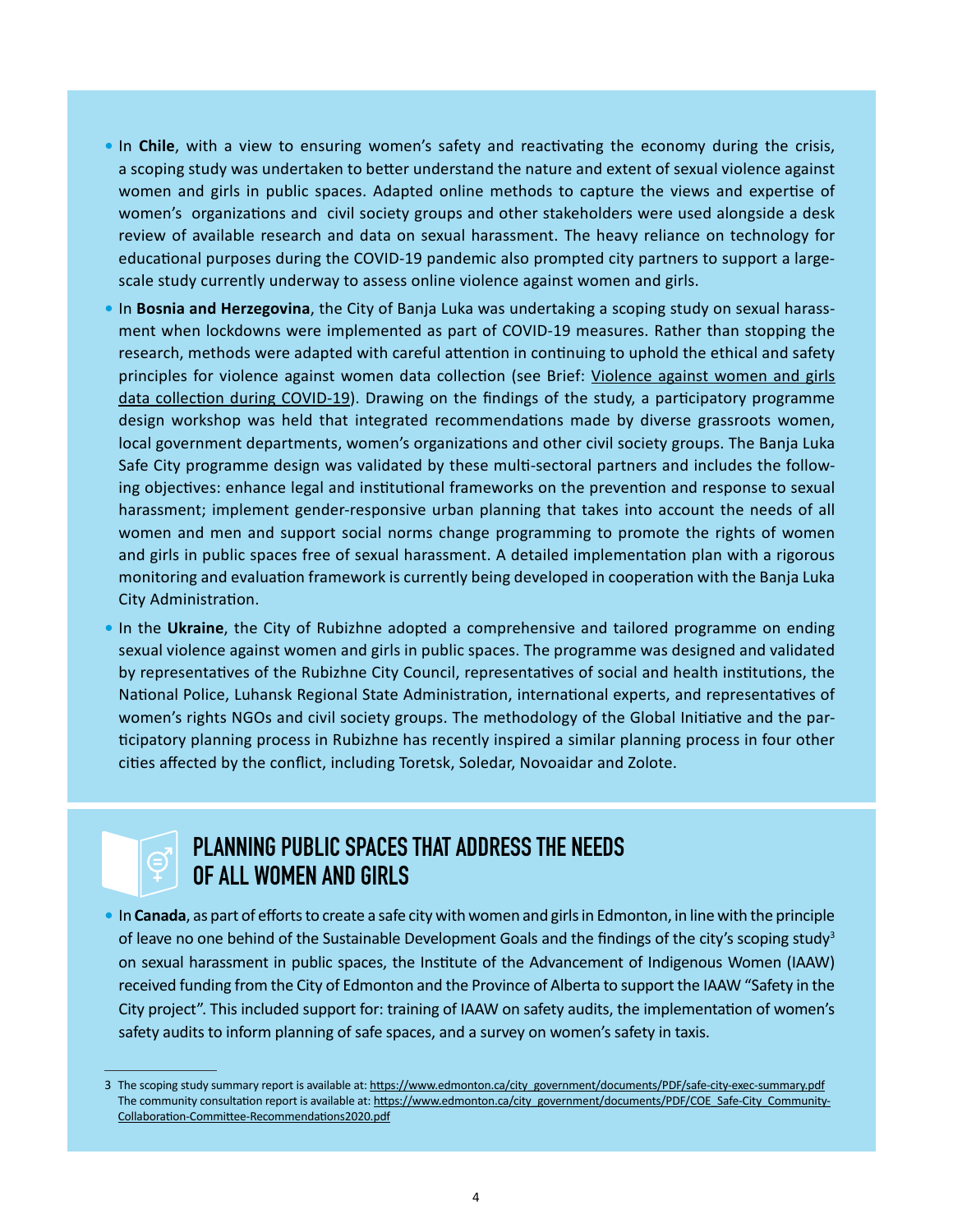- **•** In **Chile**, with a view to ensuring women's safety and reactivating the economy during the crisis, a scoping study was undertaken to better understand the nature and extent of sexual violence against women and girls in public spaces. Adapted online methods to capture the views and expertise of women's organizations and civil society groups and other stakeholders were used alongside a desk review of available research and data on sexual harassment. The heavy reliance on technology for educational purposes during the COVID-19 pandemic also prompted city partners to support a largescale study currently underway to assess online violence against women and girls.
- **•** In **Bosnia and Herzegovina**, the City of Banja Luka was undertaking a scoping study on sexual harassment when lockdowns were implemented as part of COVID-19 measures. Rather than stopping the research, methods were adapted with careful attention in continuing to uphold the ethical and safety principles for violence against women data collection (see Brief: Violence against women and girls [data collection during COVID-19](https://www.unwomen.org/en/digital-library/publications/2020/04/issue-brief-violence-against-women-and-girls-data-collection-during-covid-19)). Drawing on the findings of the study, a participatory programme design workshop was held that integrated recommendations made by diverse grassroots women, local government departments, women's organizations and other civil society groups. The Banja Luka Safe City programme design was validated by these multi-sectoral partners and includes the following objectives: enhance legal and institutional frameworks on the prevention and response to sexual harassment; implement gender-responsive urban planning that takes into account the needs of all women and men and support social norms change programming to promote the rights of women and girls in public spaces free of sexual harassment. A detailed implementation plan with a rigorous monitoring and evaluation framework is currently being developed in cooperation with the Banja Luka City Administration.
- **•** In the **Ukraine**, the City of Rubizhne adopted a comprehensive and tailored programme on ending sexual violence against women and girls in public spaces. The programme was designed and validated by representatives of the Rubizhne City Council, representatives of social and health institutions, the National Police, Luhansk Regional State Administration, international experts, and representatives of women's rights NGOs and civil society groups. The methodology of the Global Initiative and the participatory planning process in Rubizhne has recently inspired a similar planning process in four other cities affected by the conflict, including Toretsk, Soledar, Novoaidar and Zolote.

#### **PLANNING PUBLIC SPACES THAT ADDRESS THE NEEDS OF ALL WOMEN AND GIRLS**

**•** In **Canada**, as part of efforts to create a safe city with women and girls in Edmonton, in line with the principle of leave no one behind of the Sustainable Development Goals and the findings of the city's scoping study<sup>3</sup> on sexual harassment in public spaces, the Institute of the Advancement of Indigenous Women (IAAW) received funding from the City of Edmonton and the Province of Alberta to support the IAAW "Safety in the City project". This included support for: training of IAAW on safety audits, the implementation of women's safety audits to inform planning of safe spaces, and a survey on women's safety in taxis.

<sup>3</sup> The scoping study summary report is available at: [https://www.edmonton.ca/city\\_government/documents/PDF/safe-city-exec-summary.pdf](https://www.edmonton.ca/city_government/documents/PDF/safe-city-exec-summary.pdf) The community consultation report is available at: [https://www.edmonton.ca/city\\_government/documents/PDF/COE\\_Safe-City\\_Community-](https://www.edmonton.ca/city_government/documents/PDF/COE_Safe-City_Community-Collaboration-Committee-Recommendations2020.pdf)[Collaboration-Committee-Recommendations2020.pdf](https://www.edmonton.ca/city_government/documents/PDF/COE_Safe-City_Community-Collaboration-Committee-Recommendations2020.pdf)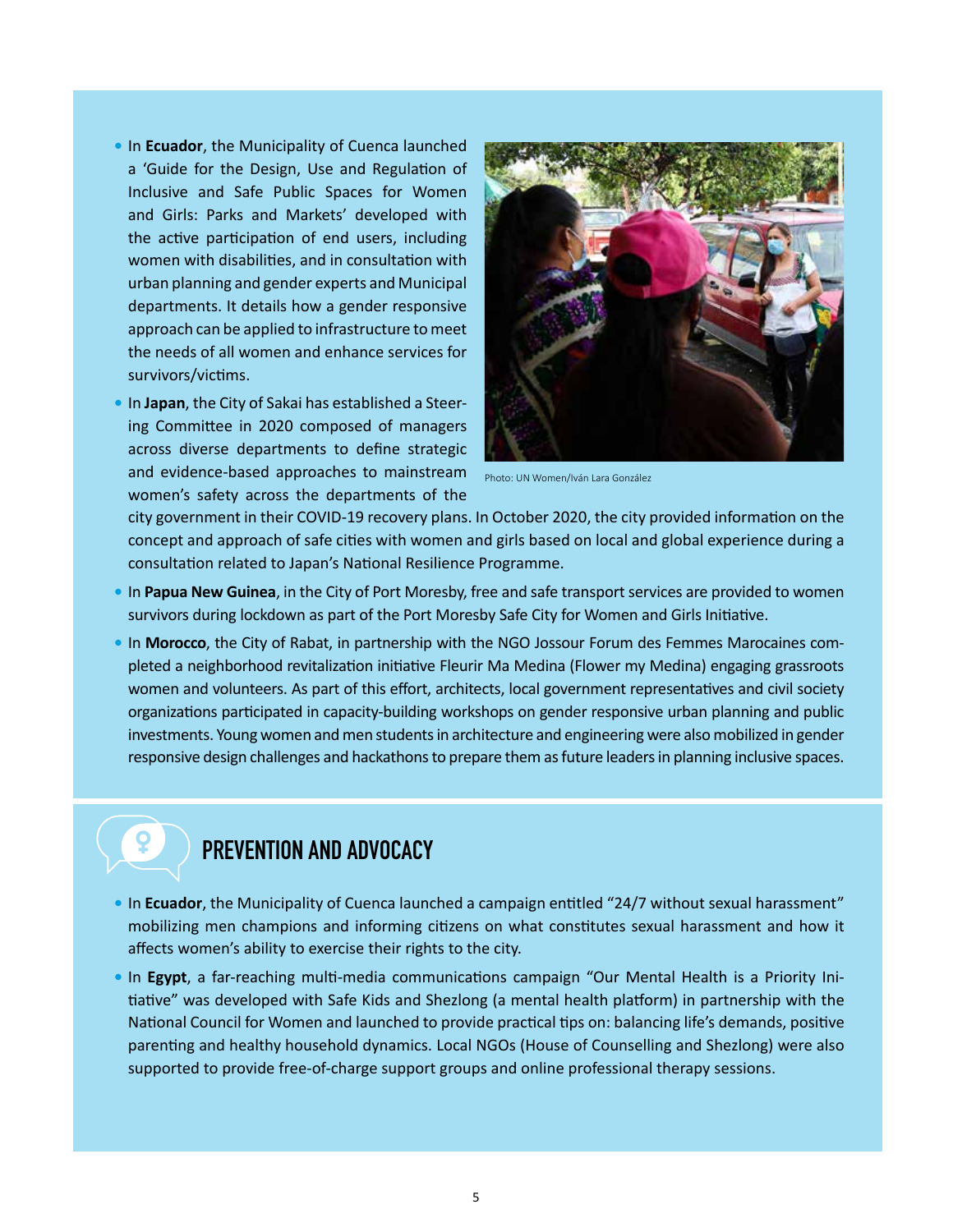- **•** In **Ecuador**, the Municipality of Cuenca launched a 'Guide for the Design, Use and Regulation of Inclusive and Safe Public Spaces for Women and Girls: Parks and Markets' developed with the active participation of end users, including women with disabilities, and in consultation with urban planning and gender experts and Municipal departments. It details how a gender responsive approach can be applied to infrastructure to meet the needs of all women and enhance services for survivors/victims.
- **•** In **Japan**, the City of Sakai has established a Steering Committee in 2020 composed of managers across diverse departments to define strategic and evidence-based approaches to mainstream women's safety across the departments of the



Photo: UN Women/Iván Lara González

city government in their COVID-19 recovery plans. In October 2020, the city provided information on the concept and approach of safe cities with women and girls based on local and global experience during a consultation related to Japan's National Resilience Programme.

- **•** In **Papua New Guinea**, in the City of Port Moresby, free and safe transport services are provided to women survivors during lockdown as part of the Port Moresby Safe City for Women and Girls Initiative.
- **•** In **Morocco**, the City of Rabat, in partnership with the NGO Jossour Forum des Femmes Marocaines completed a neighborhood revitalization initiative Fleurir Ma Medina (Flower my Medina) engaging grassroots women and volunteers. As part of this effort, architects, local government representatives and civil society organizations participated in capacity-building workshops on gender responsive urban planning and public investments. Young women and men students in architecture and engineering were also mobilized in gender responsive design challenges and hackathons to prepare them as future leaders in planning inclusive spaces.

### **PREVENTION AND ADVOCACY**

- In **Ecuador**, the Municipality of Cuenca launched a campaign entitled "24/7 without sexual harassment" mobilizing men champions and informing citizens on what constitutes sexual harassment and how it affects women's ability to exercise their rights to the city.
- **•** In **Egypt**, a far-reaching multi-media communications campaign "Our Mental Health is a Priority Initiative" was developed with Safe Kids and Shezlong (a mental health platform) in partnership with the National Council for Women and launched to provide practical tips on: balancing life's demands, positive parenting and healthy household dynamics. Local NGOs (House of Counselling and Shezlong) were also supported to provide free-of-charge support groups and online professional therapy sessions.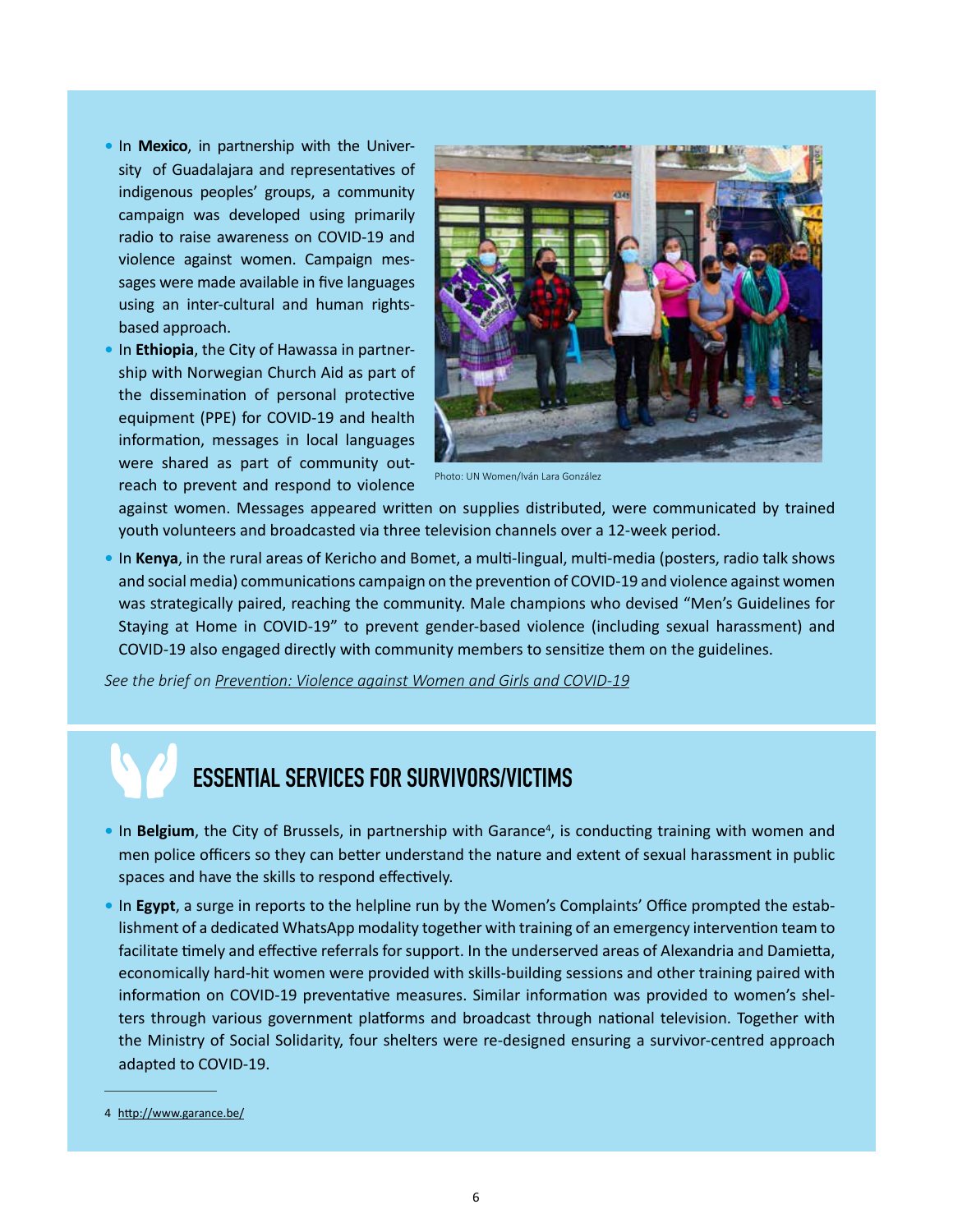- **•** In **Mexico**, in partnership with the University of Guadalajara and representatives of indigenous peoples' groups, a community campaign was developed using primarily radio to raise awareness on COVID-19 and violence against women. Campaign messages were made available in five languages using an inter-cultural and human rightsbased approach.
- **•** In **Ethiopia**, the City of Hawassa in partnership with Norwegian Church Aid as part of the dissemination of personal protective equipment (PPE) for COVID-19 and health information, messages in local languages were shared as part of community outreach to prevent and respond to violence



Photo: UN Women/Iván Lara González

against women. Messages appeared written on supplies distributed, were communicated by trained youth volunteers and broadcasted via three television channels over a 12-week period.

**•** In **Kenya**, in the rural areas of Kericho and Bomet, a multi-lingual, multi-media (posters, radio talk shows and social media) communications campaign on the prevention of COVID-19 and violence against women was strategically paired, reaching the community. Male champions who devised "Men's Guidelines for Staying at Home in COVID-19" to prevent gender-based violence (including sexual harassment) and COVID-19 also engaged directly with community members to sensitize them on the guidelines.

*See the brief on [Prevention: Violence against Women and Girls and COVID-19](https://www.unwomen.org/en/digital-library/publications/2020/05/brief-prevention-violence-against-women-and-girls-and-covid-19)*

### **ESSENTIAL SERVICES FOR SURVIVORS/VICTIMS**

- In Belgium, the City of Brussels, in partnership with Garance<sup>4</sup>, is conducting training with women and men police officers so they can better understand the nature and extent of sexual harassment in public spaces and have the skills to respond effectively.
- **•** In **Egypt**, a surge in reports to the helpline run by the Women's Complaints' Office prompted the establishment of a dedicated WhatsApp modality together with training of an emergency intervention team to facilitate timely and effective referrals for support. In the underserved areas of Alexandria and Damietta, economically hard-hit women were provided with skills-building sessions and other training paired with information on COVID-19 preventative measures. Similar information was provided to women's shelters through various government platforms and broadcast through national television. Together with the Ministry of Social Solidarity, four shelters were re-designed ensuring a survivor-centred approach adapted to COVID-19.

<sup>4</sup> <http://www.garance.be/>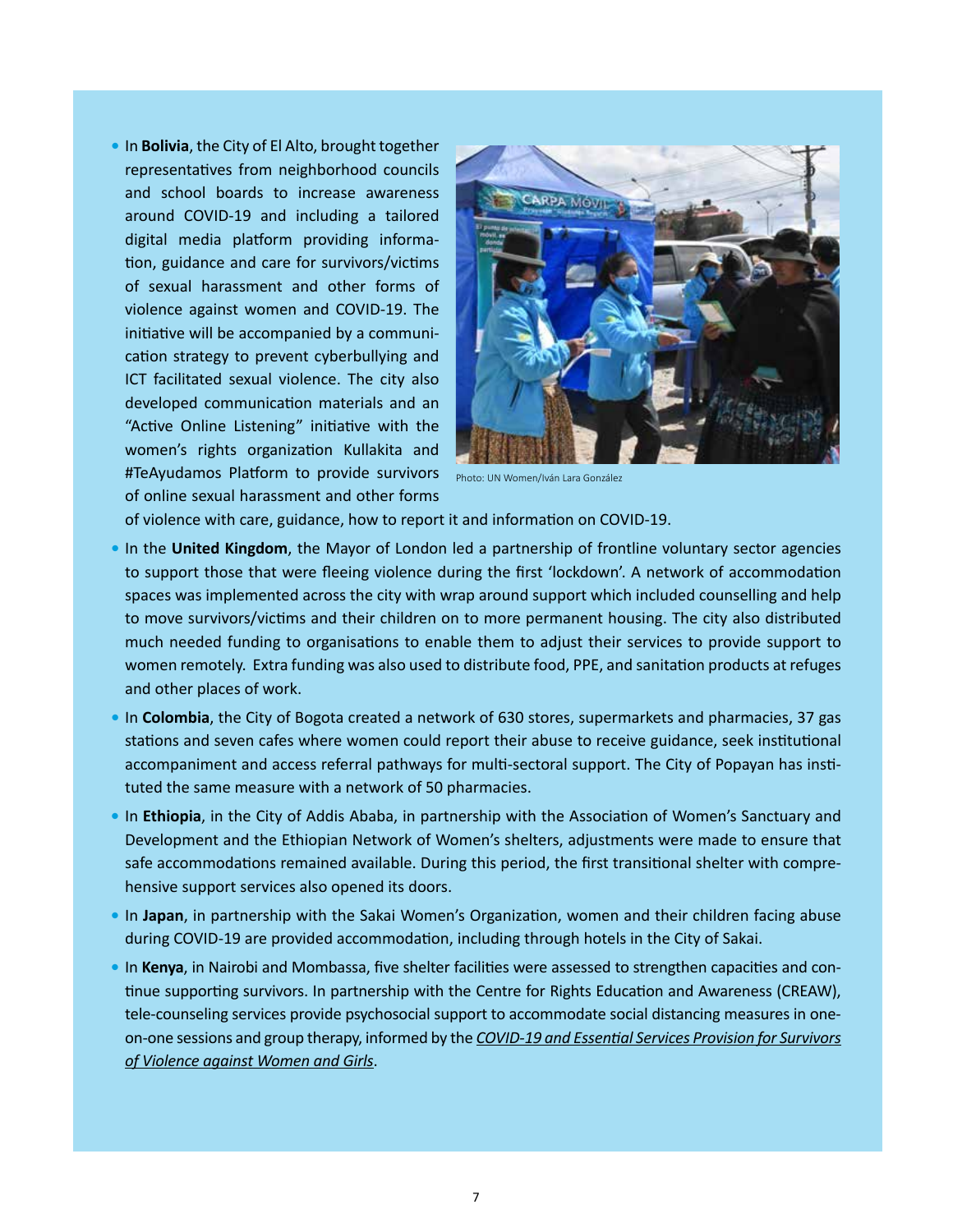**•** In **Bolivia**, the City of El Alto, brought together representatives from neighborhood councils and school boards to increase awareness around COVID-19 and including a tailored digital media platform providing information, guidance and care for survivors/victims of sexual harassment and other forms of violence against women and COVID-19. The initiative will be accompanied by a communication strategy to prevent cyberbullying and ICT facilitated sexual violence. The city also developed communication materials and an "Active Online Listening" initiative with the women's rights organization Kullakita and #TeAyudamos Platform to provide survivors of online sexual harassment and other forms



Photo: UN Women/Iván Lara González

of violence with care, guidance, how to report it and information on COVID-19.

- **•** In the **United Kingdom**, the Mayor of London led a partnership of frontline voluntary sector agencies to support those that were fleeing violence during the first 'lockdown'. A network of accommodation spaces was implemented across the city with wrap around support which included counselling and help to move survivors/victims and their children on to more permanent housing. The city also distributed much needed funding to organisations to enable them to adjust their services to provide support to women remotely. Extra funding was also used to distribute food, PPE, and sanitation products at refuges and other places of work.
- **•** In **Colombia**, the City of Bogota created a network of 630 stores, supermarkets and pharmacies, 37 gas stations and seven cafes where women could report their abuse to receive guidance, seek institutional accompaniment and access referral pathways for multi-sectoral support. The City of Popayan has instituted the same measure with a network of 50 pharmacies.
- **•** In **Ethiopia**, in the City of Addis Ababa, in partnership with the Association of Women's Sanctuary and Development and the Ethiopian Network of Women's shelters, adjustments were made to ensure that safe accommodations remained available. During this period, the first transitional shelter with comprehensive support services also opened its doors.
- **•** In **Japan**, in partnership with the Sakai Women's Organization, women and their children facing abuse during COVID-19 are provided accommodation, including through hotels in the City of Sakai.
- **•** In **Kenya**, in Nairobi and Mombassa, five shelter facilities were assessed to strengthen capacities and continue supporting survivors. In partnership with the Centre for Rights Education and Awareness (CREAW), tele-counseling services provide psychosocial support to accommodate social distancing measures in oneon-one sessions and group therapy, informed by the *[COVID-19 and Essential Services Provision for Survivors](https://www.unwomen.org/en/digital-library/publications/2020/04/brief-covid-19-and-essential-services-provision-for-survivors-of-violence-against-women-and-girls)  [of Violence against Women and Girls](https://www.unwomen.org/en/digital-library/publications/2020/04/brief-covid-19-and-essential-services-provision-for-survivors-of-violence-against-women-and-girls)*.